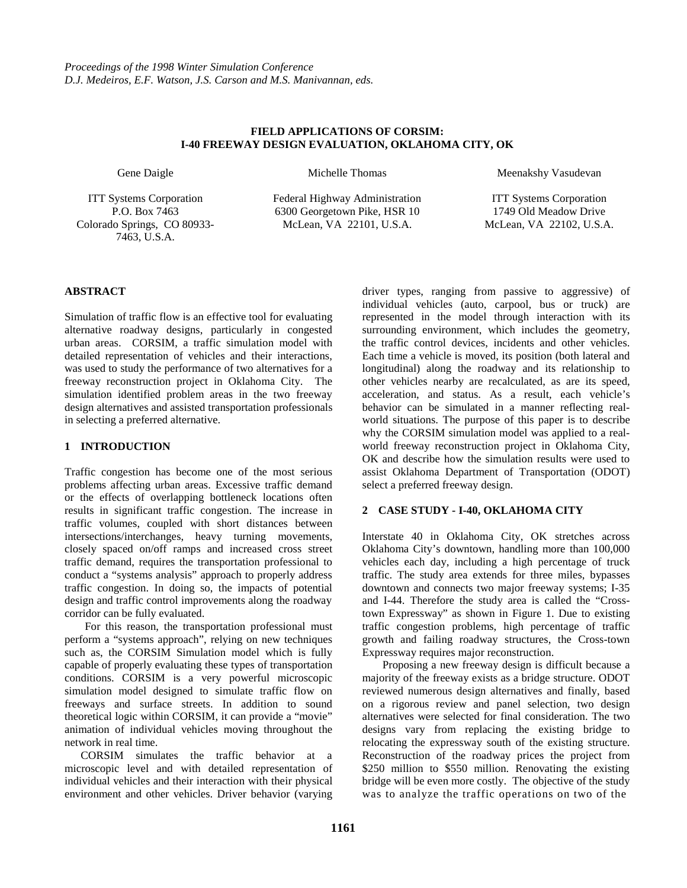## **FIELD APPLICATIONS OF CORSIM: I-40 FREEWAY DESIGN EVALUATION, OKLAHOMA CITY, OK**

Gene Daigle

ITT Systems Corporation P.O. Box 7463 Colorado Springs, CO 80933- 7463, U.S.A.

Michelle Thomas

Federal Highway Administration 6300 Georgetown Pike, HSR 10 McLean, VA 22101, U.S.A.

Meenakshy Vasudevan

ITT Systems Corporation 1749 Old Meadow Drive McLean, VA 22102, U.S.A.

# **ABSTRACT**

Simulation of traffic flow is an effective tool for evaluating alternative roadway designs, particularly in congested urban areas. CORSIM, a traffic simulation model with detailed representation of vehicles and their interactions, was used to study the performance of two alternatives for a freeway reconstruction project in Oklahoma City. The simulation identified problem areas in the two freeway design alternatives and assisted transportation professionals in selecting a preferred alternative.

# **1 INTRODUCTION**

Traffic congestion has become one of the most serious problems affecting urban areas. Excessive traffic demand or the effects of overlapping bottleneck locations often results in significant traffic congestion. The increase in traffic volumes, coupled with short distances between intersections/interchanges, heavy turning movements, closely spaced on/off ramps and increased cross street traffic demand, requires the transportation professional to conduct a "systems analysis" approach to properly address traffic congestion. In doing so, the impacts of potential design and traffic control improvements along the roadway corridor can be fully evaluated.

For this reason, the transportation professional must perform a "systems approach", relying on new techniques such as, the CORSIM Simulation model which is fully capable of properly evaluating these types of transportation conditions. CORSIM is a very powerful microscopic simulation model designed to simulate traffic flow on freeways and surface streets. In addition to sound theoretical logic within CORSIM, it can provide a "movie" animation of individual vehicles moving throughout the network in real time.

CORSIM simulates the traffic behavior at a microscopic level and with detailed representation of individual vehicles and their interaction with their physical environment and other vehicles. Driver behavior (varying driver types, ranging from passive to aggressive) of individual vehicles (auto, carpool, bus or truck) are represented in the model through interaction with its surrounding environment, which includes the geometry, the traffic control devices, incidents and other vehicles. Each time a vehicle is moved, its position (both lateral and longitudinal) along the roadway and its relationship to other vehicles nearby are recalculated, as are its speed, acceleration, and status. As a result, each vehicle's behavior can be simulated in a manner reflecting realworld situations. The purpose of this paper is to describe why the CORSIM simulation model was applied to a realworld freeway reconstruction project in Oklahoma City, OK and describe how the simulation results were used to assist Oklahoma Department of Transportation (ODOT) select a preferred freeway design.

# **2 CASE STUDY - I-40, OKLAHOMA CITY**

Interstate 40 in Oklahoma City, OK stretches across Oklahoma City's downtown, handling more than 100,000 vehicles each day, including a high percentage of truck traffic. The study area extends for three miles, bypasses downtown and connects two major freeway systems; I-35 and I-44. Therefore the study area is called the "Crosstown Expressway" as shown in Figure 1. Due to existing traffic congestion problems, high percentage of traffic growth and failing roadway structures, the Cross-town Expressway requires major reconstruction.

Proposing a new freeway design is difficult because a majority of the freeway exists as a bridge structure. ODOT reviewed numerous design alternatives and finally, based on a rigorous review and panel selection, two design alternatives were selected for final consideration. The two designs vary from replacing the existing bridge to relocating the expressway south of the existing structure. Reconstruction of the roadway prices the project from \$250 million to \$550 million. Renovating the existing bridge will be even more costly. The objective of the study was to analyze the traffic operations on two of the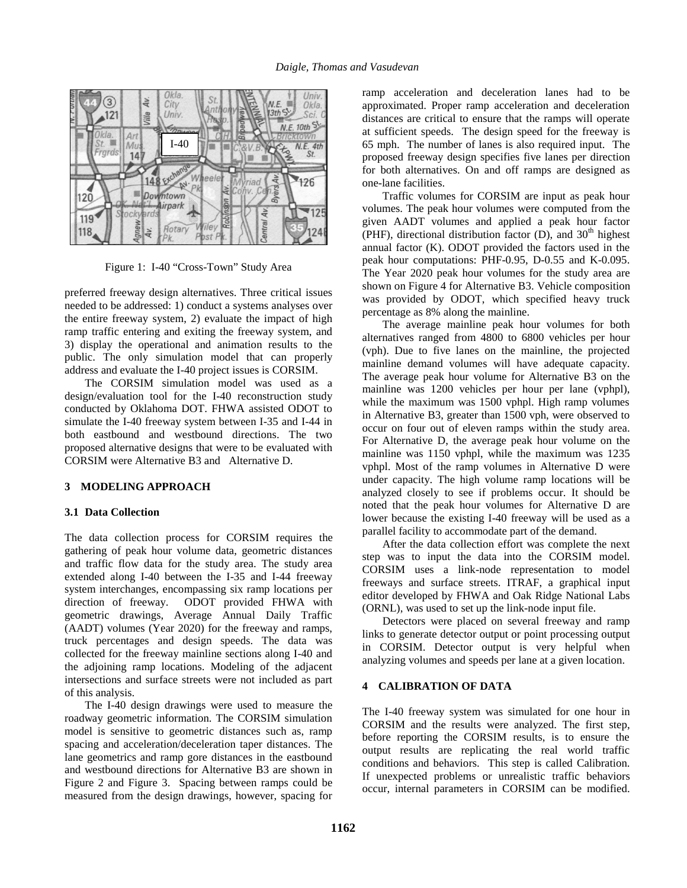

Figure 1: I-40 "Cross-Town" Study Area

preferred freeway design alternatives. Three critical issues needed to be addressed: 1) conduct a systems analyses over the entire freeway system, 2) evaluate the impact of high ramp traffic entering and exiting the freeway system, and 3) display the operational and animation results to the public. The only simulation model that can properly address and evaluate the I-40 project issues is CORSIM.

The CORSIM simulation model was used as a design/evaluation tool for the I-40 reconstruction study conducted by Oklahoma DOT. FHWA assisted ODOT to simulate the I-40 freeway system between I-35 and I-44 in both eastbound and westbound directions. The two proposed alternative designs that were to be evaluated with CORSIM were Alternative B3 and Alternative D.

#### **3 MODELING APPROACH**

#### **3.1 Data Collection**

The data collection process for CORSIM requires the gathering of peak hour volume data, geometric distances and traffic flow data for the study area. The study area extended along I-40 between the I-35 and I-44 freeway system interchanges, encompassing six ramp locations per direction of freeway. ODOT provided FHWA with geometric drawings, Average Annual Daily Traffic (AADT) volumes (Year 2020) for the freeway and ramps, truck percentages and design speeds. The data was collected for the freeway mainline sections along I-40 and the adjoining ramp locations. Modeling of the adjacent intersections and surface streets were not included as part of this analysis.

The I-40 design drawings were used to measure the roadway geometric information. The CORSIM simulation model is sensitive to geometric distances such as, ramp spacing and acceleration/deceleration taper distances. The lane geometrics and ramp gore distances in the eastbound and westbound directions for Alternative B3 are shown in Figure 2 and Figure 3. Spacing between ramps could be measured from the design drawings, however, spacing for ramp acceleration and deceleration lanes had to be approximated. Proper ramp acceleration and deceleration distances are critical to ensure that the ramps will operate at sufficient speeds. The design speed for the freeway is 65 mph. The number of lanes is also required input. The proposed freeway design specifies five lanes per direction for both alternatives. On and off ramps are designed as one-lane facilities.

Traffic volumes for CORSIM are input as peak hour volumes. The peak hour volumes were computed from the given AADT volumes and applied a peak hour factor (PHF), directional distribution factor (D), and  $30<sup>th</sup>$  highest annual factor (K). ODOT provided the factors used in the peak hour computations: PHF-0.95, D-0.55 and K-0.095. The Year 2020 peak hour volumes for the study area are shown on Figure 4 for Alternative B3. Vehicle composition was provided by ODOT, which specified heavy truck percentage as 8% along the mainline.

The average mainline peak hour volumes for both alternatives ranged from 4800 to 6800 vehicles per hour (vph). Due to five lanes on the mainline, the projected mainline demand volumes will have adequate capacity. The average peak hour volume for Alternative B3 on the mainline was 1200 vehicles per hour per lane (vphpl), while the maximum was 1500 vphpl. High ramp volumes in Alternative B3, greater than 1500 vph, were observed to occur on four out of eleven ramps within the study area. For Alternative D, the average peak hour volume on the mainline was 1150 vphpl, while the maximum was 1235 vphpl. Most of the ramp volumes in Alternative D were under capacity. The high volume ramp locations will be analyzed closely to see if problems occur. It should be noted that the peak hour volumes for Alternative D are lower because the existing I-40 freeway will be used as a parallel facility to accommodate part of the demand.

After the data collection effort was complete the next step was to input the data into the CORSIM model. CORSIM uses a link-node representation to model freeways and surface streets. ITRAF, a graphical input editor developed by FHWA and Oak Ridge National Labs (ORNL), was used to set up the link-node input file.

Detectors were placed on several freeway and ramp links to generate detector output or point processing output in CORSIM. Detector output is very helpful when analyzing volumes and speeds per lane at a given location.

### **4 CALIBRATION OF DATA**

The I-40 freeway system was simulated for one hour in CORSIM and the results were analyzed. The first step, before reporting the CORSIM results, is to ensure the output results are replicating the real world traffic conditions and behaviors. This step is called Calibration. If unexpected problems or unrealistic traffic behaviors occur, internal parameters in CORSIM can be modified.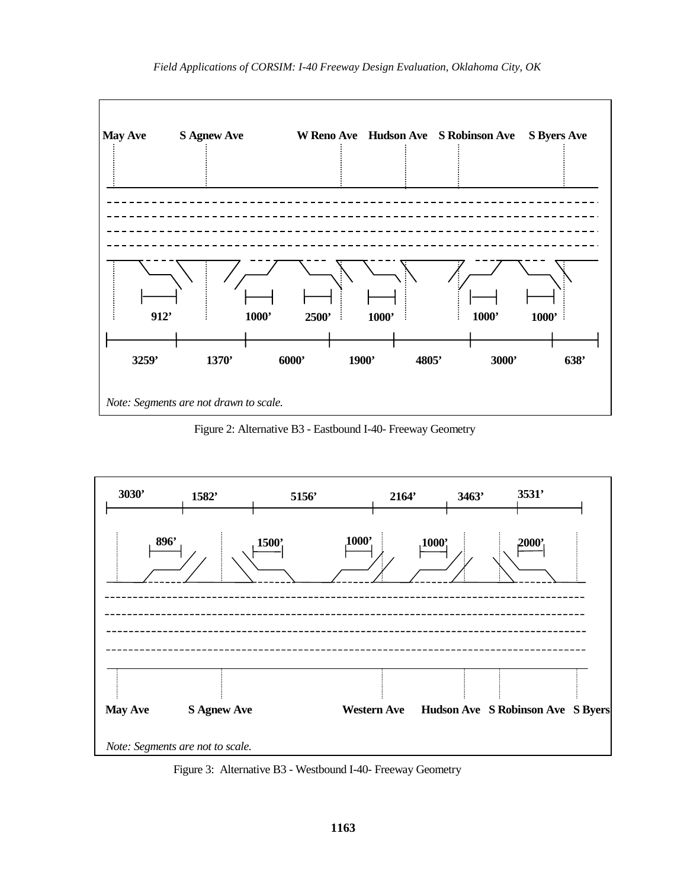

Figure 2: Alternative B3 - Eastbound I-40- Freeway Geometry



Figure 3: Alternative B3 - Westbound I-40- Freeway Geometry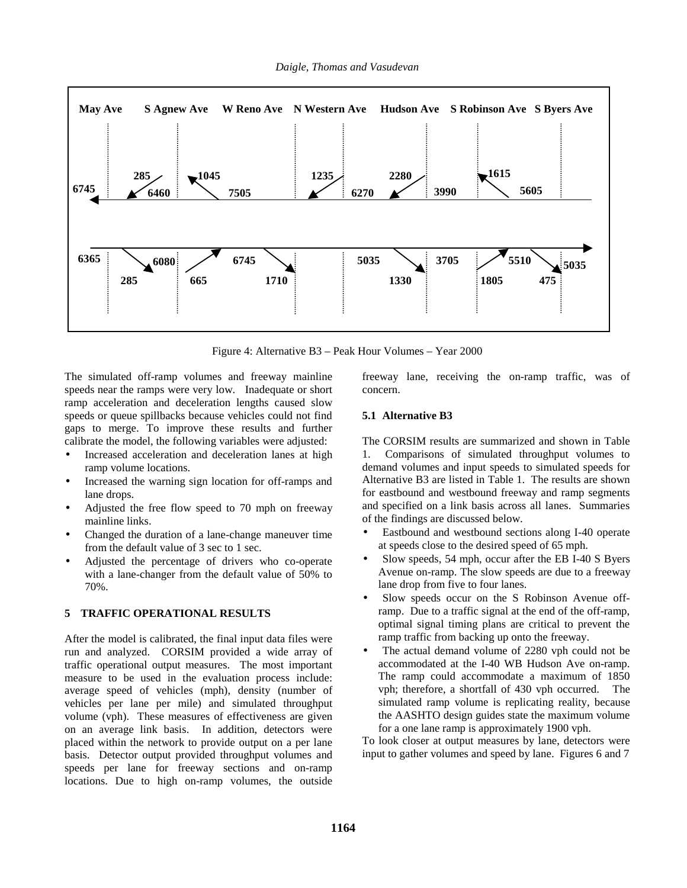

Figure 4: Alternative B3 – Peak Hour Volumes – Year 2000

The simulated off-ramp volumes and freeway mainline speeds near the ramps were very low. Inadequate or short ramp acceleration and deceleration lengths caused slow speeds or queue spillbacks because vehicles could not find gaps to merge. To improve these results and further calibrate the model, the following variables were adjusted:

- Increased acceleration and deceleration lanes at high ramp volume locations.
- Increased the warning sign location for off-ramps and lane drops.
- Adjusted the free flow speed to 70 mph on freeway mainline links.
- Changed the duration of a lane-change maneuver time from the default value of 3 sec to 1 sec.
- Adjusted the percentage of drivers who co-operate with a lane-changer from the default value of 50% to 70%.

### **5 TRAFFIC OPERATIONAL RESULTS**

After the model is calibrated, the final input data files were run and analyzed. CORSIM provided a wide array of traffic operational output measures. The most important measure to be used in the evaluation process include: average speed of vehicles (mph), density (number of vehicles per lane per mile) and simulated throughput volume (vph). These measures of effectiveness are given on an average link basis. In addition, detectors were placed within the network to provide output on a per lane basis. Detector output provided throughput volumes and speeds per lane for freeway sections and on-ramp locations. Due to high on-ramp volumes, the outside

freeway lane, receiving the on-ramp traffic, was of concern.

## **5.1 Alternative B3**

The CORSIM results are summarized and shown in Table 1. Comparisons of simulated throughput volumes to demand volumes and input speeds to simulated speeds for Alternative B3 are listed in Table 1. The results are shown for eastbound and westbound freeway and ramp segments and specified on a link basis across all lanes. Summaries of the findings are discussed below.

- Eastbound and westbound sections along I-40 operate at speeds close to the desired speed of 65 mph.
- Slow speeds, 54 mph, occur after the EB I-40 S Byers Avenue on-ramp. The slow speeds are due to a freeway lane drop from five to four lanes.
- Slow speeds occur on the S Robinson Avenue offramp. Due to a traffic signal at the end of the off-ramp, optimal signal timing plans are critical to prevent the ramp traffic from backing up onto the freeway.
- The actual demand volume of 2280 vph could not be accommodated at the I-40 WB Hudson Ave on-ramp. The ramp could accommodate a maximum of 1850 vph; therefore, a shortfall of 430 vph occurred. The simulated ramp volume is replicating reality, because the AASHTO design guides state the maximum volume for a one lane ramp is approximately 1900 vph.

To look closer at output measures by lane, detectors were input to gather volumes and speed by lane. Figures 6 and 7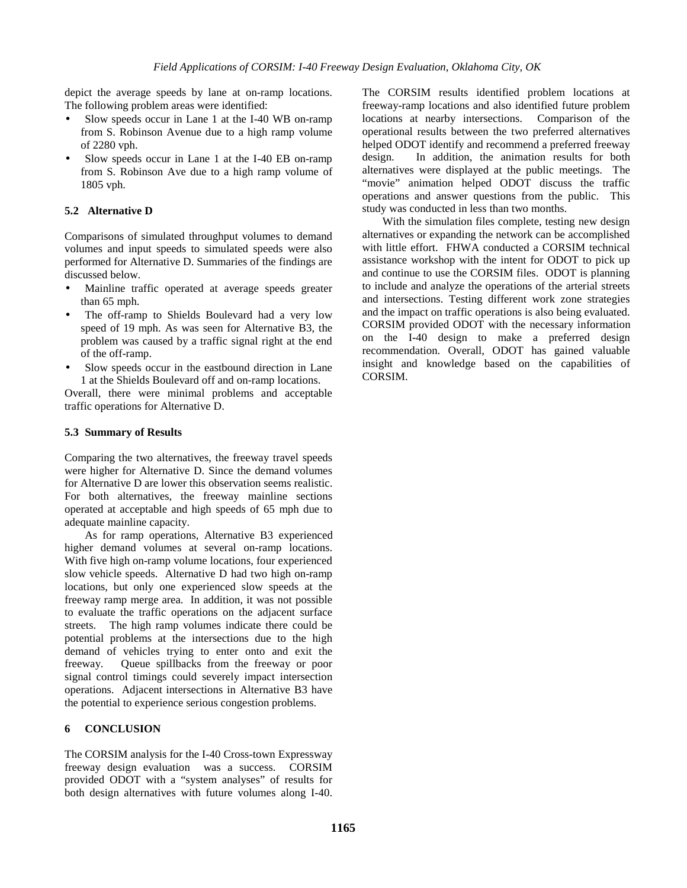depict the average speeds by lane at on-ramp locations. The following problem areas were identified:

- Slow speeds occur in Lane 1 at the I-40 WB on-ramp from S. Robinson Avenue due to a high ramp volume of 2280 vph.
- Slow speeds occur in Lane 1 at the I-40 EB on-ramp from S. Robinson Ave due to a high ramp volume of 1805 vph.

## **5.2 Alternative D**

Comparisons of simulated throughput volumes to demand volumes and input speeds to simulated speeds were also performed for Alternative D. Summaries of the findings are discussed below.

- Mainline traffic operated at average speeds greater than 65 mph.
- The off-ramp to Shields Boulevard had a very low speed of 19 mph. As was seen for Alternative B3, the problem was caused by a traffic signal right at the end of the off-ramp.
- Slow speeds occur in the eastbound direction in Lane 1 at the Shields Boulevard off and on-ramp locations.

Overall, there were minimal problems and acceptable traffic operations for Alternative D.

## **5.3 Summary of Results**

Comparing the two alternatives, the freeway travel speeds were higher for Alternative D. Since the demand volumes for Alternative D are lower this observation seems realistic. For both alternatives, the freeway mainline sections operated at acceptable and high speeds of 65 mph due to adequate mainline capacity.

As for ramp operations, Alternative B3 experienced higher demand volumes at several on-ramp locations. With five high on-ramp volume locations, four experienced slow vehicle speeds. Alternative D had two high on-ramp locations, but only one experienced slow speeds at the freeway ramp merge area. In addition, it was not possible to evaluate the traffic operations on the adjacent surface streets. The high ramp volumes indicate there could be potential problems at the intersections due to the high demand of vehicles trying to enter onto and exit the freeway. Queue spillbacks from the freeway or poor signal control timings could severely impact intersection operations. Adjacent intersections in Alternative B3 have the potential to experience serious congestion problems.

# **6 CONCLUSION**

The CORSIM analysis for the I-40 Cross-town Expressway freeway design evaluation was a success. CORSIM provided ODOT with a "system analyses" of results for both design alternatives with future volumes along I-40. The CORSIM results identified problem locations at freeway-ramp locations and also identified future problem locations at nearby intersections. Comparison of the operational results between the two preferred alternatives helped ODOT identify and recommend a preferred freeway design. In addition, the animation results for both alternatives were displayed at the public meetings. The "movie" animation helped ODOT discuss the traffic operations and answer questions from the public. This study was conducted in less than two months.

With the simulation files complete, testing new design alternatives or expanding the network can be accomplished with little effort. FHWA conducted a CORSIM technical assistance workshop with the intent for ODOT to pick up and continue to use the CORSIM files. ODOT is planning to include and analyze the operations of the arterial streets and intersections. Testing different work zone strategies and the impact on traffic operations is also being evaluated. CORSIM provided ODOT with the necessary information on the I-40 design to make a preferred design recommendation. Overall, ODOT has gained valuable insight and knowledge based on the capabilities of CORSIM.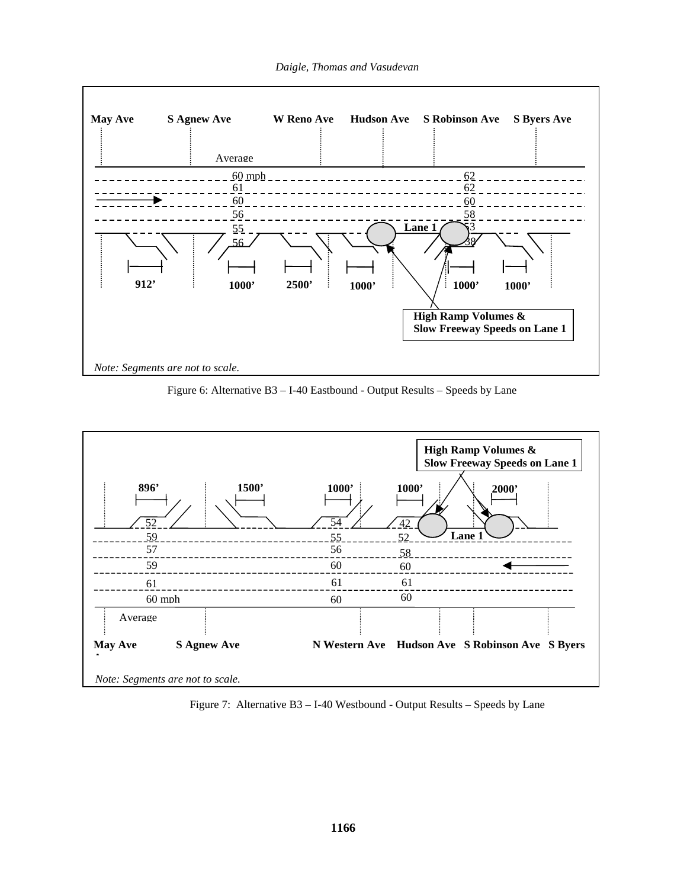

Figure 6: Alternative B3 – I-40 Eastbound - Output Results – Speeds by Lane



Figure 7: Alternative B3 – I-40 Westbound - Output Results – Speeds by Lane